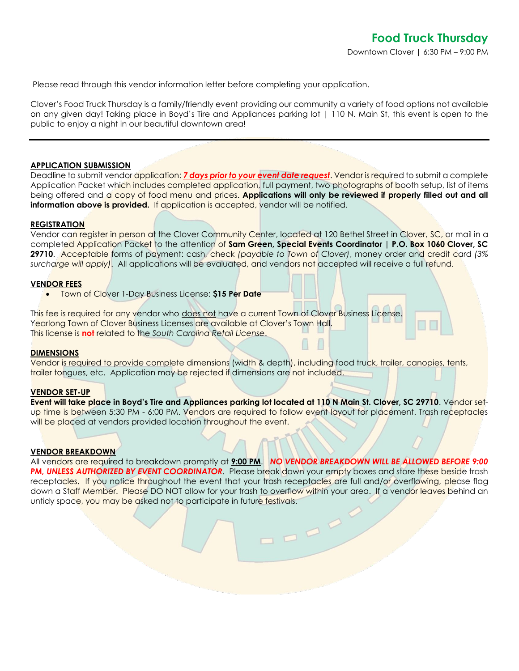Please read through this vendor information letter before completing your application.

Clover's Food Truck Thursday is a family/friendly event providing our community a variety of food options not available on any given day! Taking place in Boyd's Tire and Appliances parking lot | 110 N. Main St, this event is open to the public to enjoy a night in our beautiful downtown area!

### **APPLICATION SUBMISSION**

Deadline to submit vendor application: *7 days prior to your event date request*. Vendor is required to submit a complete Application Packet which includes completed application, full payment, two photographs of booth setup, list of items being offered and a copy of food menu and prices. **Applications will only be reviewed if properly filled out and all information above is provided.** If application is accepted, vendor will be notified.

#### **REGISTRATION**

Vendor can register in person at the Clover Community Center, located at 120 Bethel Street in Clover, SC, or mail in a completed Application Packet to the attention of **Sam Green, Special Events Coordinator | P.O. Box 1060 Clover, SC 29710**. Acceptable forms of payment: cash, check *(payable to Town of Clover)*, money order and credit card *(3% surcharge will apply)*. All applications will be evaluated, and vendors not accepted will receive a full refund.

#### **VENDOR FEES**

• Town of Clover 1-Day Business License: **\$15 Per Date** 

This fee is required for any vendor who does not have a current Town of Clover Business License. Yearlong Town of Clover Business Licenses are available at Clover's Town Hall. This license is **not** related to the *South Carolina Retail License*.

#### **DIMENSIONS**

Vendor is required to provide complete dimensions (width & depth), including food truck, trailer, canopies, tents, trailer tongues, etc. Application may be rejected if dimensions are not included.

#### **VENDOR SET-UP**

**Event will take place in Boyd's Tire and Appliances parking lot located at 110 N Main St. Clover, SC 29710**. Vendor setup time is between 5:30 PM - 6:00 PM. Vendors are required to follow event layout for placement. Trash receptacles will be placed at vendors provided location throughout the event.

#### **VENDOR BREAKDOWN**

All vendors are required to breakdown promptly at **9:00 PM**. *NO VENDOR BREAKDOWN WILL BE ALLOWED BEFORE 9:00*  **PM, UNLESS AUTHORIZED BY EVENT COORDINATOR**. Please break down your empty boxes and store these beside trash receptacles. If you notice throughout the event that your trash receptacles are full and/or overflowing, please flag down a Staff Member. Please DO NOT allow for your trash to overflow within your area. If a vendor leaves behind an untidy space, you may be asked not to participate in future festivals.

 $\frac{1}{2}$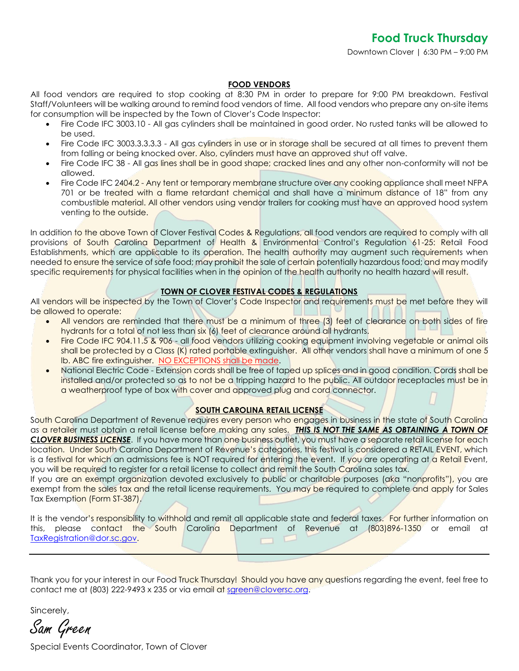## **FOOD VENDORS**

All food vendors are required to stop cooking at 8:30 PM in order to prepare for 9:00 PM breakdown. Festival Staff/Volunteers will be walking around to remind food vendors of time. All food vendors who prepare any on-site items for consumption will be inspected by the Town of Clover's Code Inspector:

- Fire Code IFC 3003.10 All gas cylinders shall be maintained in good order. No rusted tanks will be allowed to be used.
- Fire Code IFC 3003.3.3.3.3 All gas cylinders in use or in storage shall be secured at all times to prevent them from falling or being knocked over. Also, cylinders must have an approved shut off valve.
- Fire Code IFC 38 All gas lines shall be in good shape; cracked lines and any other non-conformity will not be allowed.
- Fire Code IFC 2404.2 Any tent or temporary membrane structure over any cooking appliance shall meet NFPA 701 or be treated with a flame retardant chemical and shall have a minimum distance of 18" from any combustible material. All other vendors using vendor trailers for cooking must have an approved hood system venting to the outside.

In addition to the above Town of Clover Festival Codes & Regulations, all food vendors are required to comply with all provisions of South Carolina Department of Health & Environmental Control's Regulation 61-25: Retail Food Establishments, which are applicable to its operation. The health authority may augment such requirements when needed to ensure the service of safe food; may prohibit the sale of certain potentially hazardous food; and may modify specific requirements for physical facilities when in the opinion of the health authority no health hazard will result.

# **TOWN OF CLOVER FESTIVAL CODES & REGULATIONS**

All vendors will be inspected by the Town of Clover's Code Inspector and requirements must be met before they will be allowed to operate:

- All vendors are reminded that there must be a minimum of three (3) feet of clearance on both sides of fire hydrants for a total of not less than six (6) feet of clearance around all hydrants.
- Fire Code IFC 904.11.5 & 906 all food vendors utilizing cooking equipment involving vegetable or animal oils shall be protected by a Class (K) rated portable extinguisher. All other vendors shall have a minimum of one 5 lb. ABC fire extinguisher. NO EXCEPTIONS shall be made.
- National Electric Code Extension cords shall be free of taped up splices and in good condition. Cords shall be installed and/or protected so as to not be a tripping hazard to the public. All outdoor receptacles must be in a weatherproof type of box with cover and approved plug and cord connector.

# **SOUTH CAROLINA RETAIL LICENSE**

South Carolina Department of Revenue requires every person who engages in business in the state of South Carolina as a retailer must obtain a retail license before making any sales. *THIS IS NOT THE SAME AS OBTAINING A TOWN OF CLOVER BUSINESS LICENSE*. If you have more than one business outlet, you must have a separate retail license for each location. Under South Carolina Department of Revenue's categories, this festival is considered a RETAIL EVENT, which is a festival for which an admissions fee is NOT required for entering the event. If you are operating at a Retail Event, you will be required to register for a retail license to collect and remit the South Carolina sales tax.

If you are an exempt organization devoted exclusively to public or charitable purposes (aka "nonprofits"), you are exempt from the sales tax and the retail license requirements. You may be required to complete and apply for Sales Tax Exemption (Form ST-387).

It is the vendor's responsibility to withhold and remit all applicable state and federal taxes. For further information on this, please contact the South Carolina Department of Revenue at (803)896-1350 or email at [TaxRegistration@dor.sc.gov.](mailto:TaxRegistration@dor.sc.gov)

Thank you for your interest in our Food Truck Thursday! Should you have any questions regarding the event, feel free to contact me at (803) 222-9493 x 235 or via email at [sgreen@cloversc.org.](mailto:sgreen@cloversc.org)

Sincerely,

Sam Green

Special Events Coordinator, Town of Clover